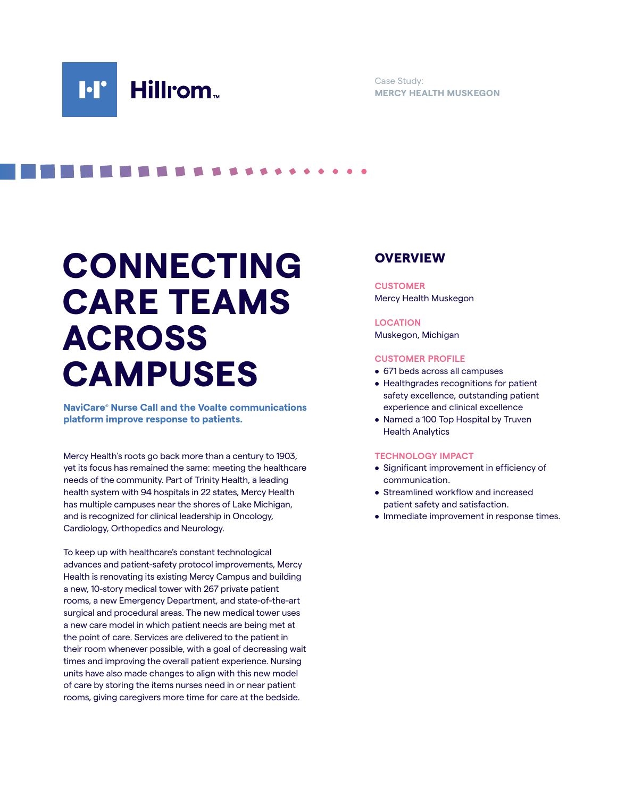Case Study: **MERCY HEALTH MUSKEGON**

# **CONNECTING CARE TEAMS ACROSS CAMPUSES**

**. . . . .** 

**NaviCare® Nurse Call and the Voalte communications platform improve response to patients.**

Mercy Health's roots go back more than a century to 1903, yet its focus has remained the same: meeting the healthcare needs of the community. Part of Trinity Health, a leading health system with 94 hospitals in 22 states, Mercy Health has multiple campuses near the shores of Lake Michigan, and is recognized for clinical leadership in Oncology, Cardiology, Orthopedics and Neurology.

To keep up with healthcare's constant technological advances and patient-safety protocol improvements, Mercy Health is renovating its existing Mercy Campus and building a new, 10-story medical tower with 267 private patient rooms, a new Emergency Department, and state-of-the-art surgical and procedural areas. The new medical tower uses a new care model in which patient needs are being met at the point of care. Services are delivered to the patient in their room whenever possible, with a goal of decreasing wait times and improving the overall patient experience. Nursing units have also made changes to align with this new model of care by storing the items nurses need in or near patient rooms, giving caregivers more time for care at the bedside.

### **OVERVIEW**

**CUSTOMER** Mercy Health Muskegon

#### **LOCATION**

Muskegon, Michigan

#### **CUSTOMER PROFILE**

- 671 beds across all campuses
- Healthgrades recognitions for patient safety excellence, outstanding patient experience and clinical excellence
- Named a 100 Top Hospital by Truven Health Analytics

#### **TECHNOLOGY IMPACT**

- Significant improvement in efficiency of communication.
- Streamlined workflow and increased patient safety and satisfaction.
- Immediate improvement in response times.

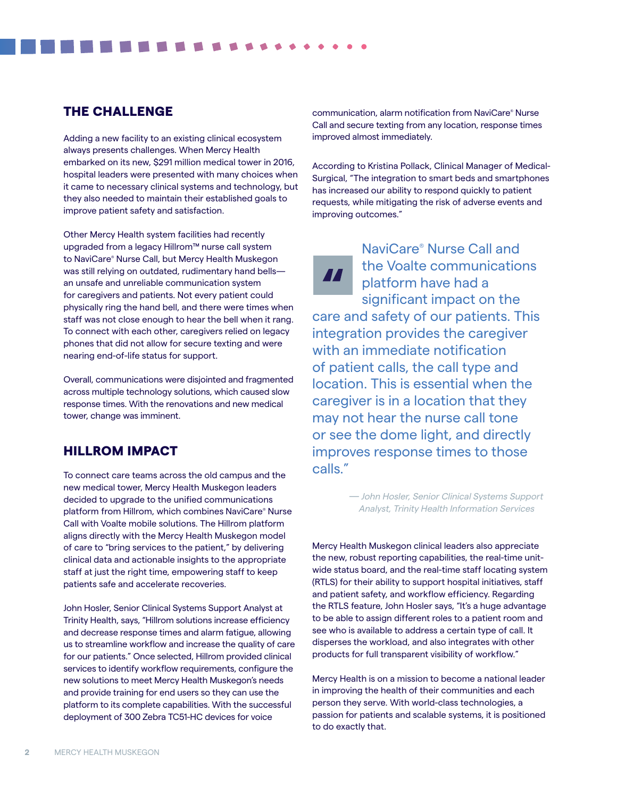## THE CHALLENGE

Adding a new facility to an existing clinical ecosystem always presents challenges. When Mercy Health embarked on its new, \$291 million medical tower in 2016, hospital leaders were presented with many choices when it came to necessary clinical systems and technology, but they also needed to maintain their established goals to improve patient safety and satisfaction.

Other Mercy Health system facilities had recently upgraded from a legacy Hillrom™ nurse call system to NaviCare® Nurse Call, but Mercy Health Muskegon was still relying on outdated, rudimentary hand bells an unsafe and unreliable communication system for caregivers and patients. Not every patient could physically ring the hand bell, and there were times when staff was not close enough to hear the bell when it rang. To connect with each other, caregivers relied on legacy phones that did not allow for secure texting and were nearing end-of-life status for support.

Overall, communications were disjointed and fragmented across multiple technology solutions, which caused slow response times. With the renovations and new medical tower, change was imminent.

# HILLROM IMPACT

To connect care teams across the old campus and the new medical tower, Mercy Health Muskegon leaders decided to upgrade to the unified communications platform from Hillrom, which combines NaviCare® Nurse Call with Voalte mobile solutions. The Hillrom platform aligns directly with the Mercy Health Muskegon model of care to "bring services to the patient," by delivering clinical data and actionable insights to the appropriate staff at just the right time, empowering staff to keep patients safe and accelerate recoveries.

John Hosler, Senior Clinical Systems Support Analyst at Trinity Health, says, "Hillrom solutions increase efficiency and decrease response times and alarm fatigue, allowing us to streamline workflow and increase the quality of care for our patients." Once selected, Hillrom provided clinical services to identify workflow requirements, configure the new solutions to meet Mercy Health Muskegon's needs and provide training for end users so they can use the platform to its complete capabilities. With the successful deployment of 300 Zebra TC51-HC devices for voice

communication, alarm notification from NaviCare® Nurse Call and secure texting from any location, response times improved almost immediately.

According to Kristina Pollack, Clinical Manager of Medical-Surgical, "The integration to smart beds and smartphones has increased our ability to respond quickly to patient requests, while mitigating the risk of adverse events and improving outcomes."

 $\boldsymbol{M}$ 

NaviCare® Nurse Call and the Voalte communications platform have had a significant impact on the care and safety of our patients. This integration provides the caregiver with an immediate notification of patient calls, the call type and location. This is essential when the caregiver is in a location that they may not hear the nurse call tone or see the dome light, and directly improves response times to those calls."

> — John Hosler, Senior Clinical Systems Support Analyst, Trinity Health Information Services

Mercy Health Muskegon clinical leaders also appreciate the new, robust reporting capabilities, the real-time unitwide status board, and the real-time staff locating system (RTLS) for their ability to support hospital initiatives, staff and patient safety, and workflow efficiency. Regarding the RTLS feature, John Hosler says, "It's a huge advantage to be able to assign different roles to a patient room and see who is available to address a certain type of call. It disperses the workload, and also integrates with other products for full transparent visibility of workflow."

Mercy Health is on a mission to become a national leader in improving the health of their communities and each person they serve. With world-class technologies, a passion for patients and scalable systems, it is positioned to do exactly that.